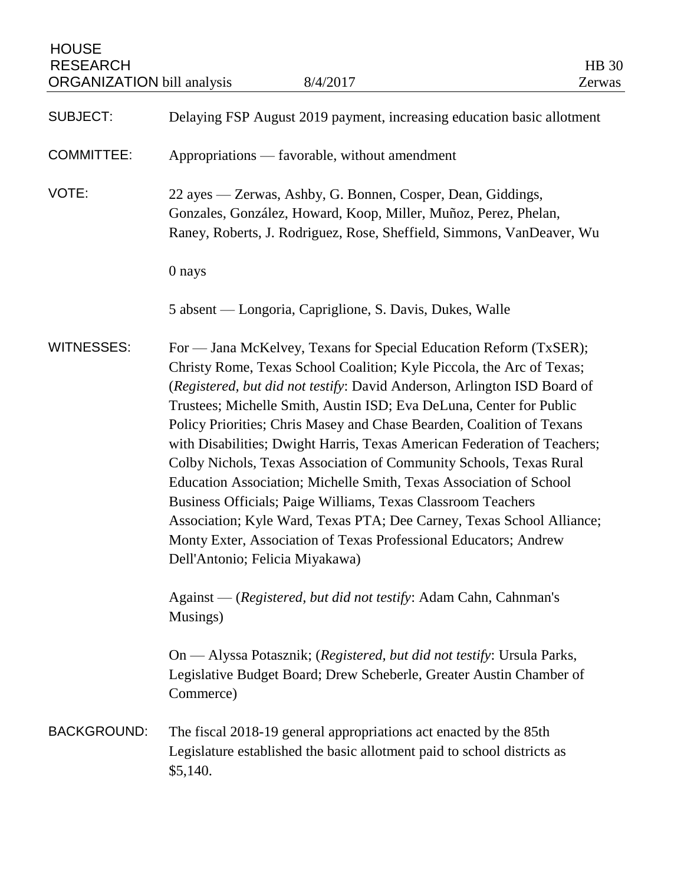**HOUSE** RESEARCH HB 30 ORGANIZATION bill analysis 8/4/2017 Zerwas SUBJECT: Delaying FSP August 2019 payment, increasing education basic allotment COMMITTEE: Appropriations — favorable, without amendment VOTE: 22 ayes — Zerwas, Ashby, G. Bonnen, Cosper, Dean, Giddings, Gonzales, González, Howard, Koop, Miller, Muñoz, Perez, Phelan, Raney, Roberts, J. Rodriguez, Rose, Sheffield, Simmons, VanDeaver, Wu 0 nays 5 absent — Longoria, Capriglione, S. Davis, Dukes, Walle WITNESSES: For — Jana McKelvey, Texans for Special Education Reform (TxSER); Christy Rome, Texas School Coalition; Kyle Piccola, the Arc of Texas; (*Registered, but did not testify*: David Anderson, Arlington ISD Board of Trustees; Michelle Smith, Austin ISD; Eva DeLuna, Center for Public Policy Priorities; Chris Masey and Chase Bearden, Coalition of Texans with Disabilities; Dwight Harris, Texas American Federation of Teachers; Colby Nichols, Texas Association of Community Schools, Texas Rural Education Association; Michelle Smith, Texas Association of School Business Officials; Paige Williams, Texas Classroom Teachers Association; Kyle Ward, Texas PTA; Dee Carney, Texas School Alliance; Monty Exter, Association of Texas Professional Educators; Andrew Dell'Antonio; Felicia Miyakawa) Against — (*Registered, but did not testify*: Adam Cahn, Cahnman's Musings) On — Alyssa Potasznik; (*Registered, but did not testify*: Ursula Parks, Legislative Budget Board; Drew Scheberle, Greater Austin Chamber of Commerce) BACKGROUND: The fiscal 2018-19 general appropriations act enacted by the 85th Legislature established the basic allotment paid to school districts as \$5,140.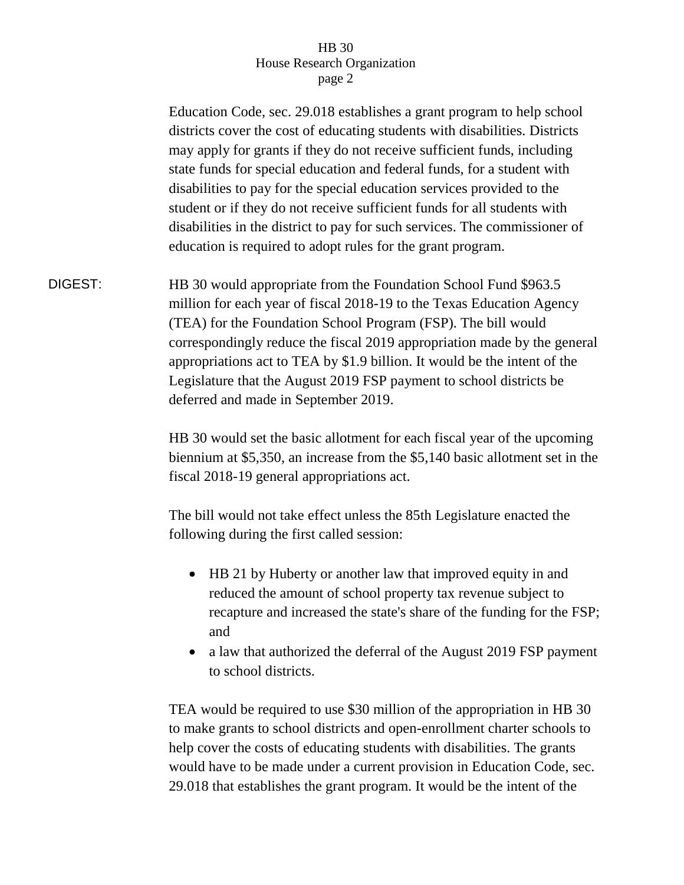## HB 30 House Research Organization page 2

Education Code, sec. 29.018 establishes a grant program to help school districts cover the cost of educating students with disabilities. Districts may apply for grants if they do not receive sufficient funds, including state funds for special education and federal funds, for a student with disabilities to pay for the special education services provided to the student or if they do not receive sufficient funds for all students with disabilities in the district to pay for such services. The commissioner of education is required to adopt rules for the grant program. DIGEST: HB 30 would appropriate from the Foundation School Fund \$963.5 million for each year of fiscal 2018-19 to the Texas Education Agency (TEA) for the Foundation School Program (FSP). The bill would correspondingly reduce the fiscal 2019 appropriation made by the general appropriations act to TEA by \$1.9 billion. It would be the intent of the Legislature that the August 2019 FSP payment to school districts be deferred and made in September 2019. HB 30 would set the basic allotment for each fiscal year of the upcoming biennium at \$5,350, an increase from the \$5,140 basic allotment set in the fiscal 2018-19 general appropriations act. The bill would not take effect unless the 85th Legislature enacted the following during the first called session: • HB 21 by Huberty or another law that improved equity in and reduced the amount of school property tax revenue subject to recapture and increased the state's share of the funding for the FSP; and • a law that authorized the deferral of the August 2019 FSP payment to school districts. TEA would be required to use \$30 million of the appropriation in HB 30 to make grants to school districts and open-enrollment charter schools to help cover the costs of educating students with disabilities. The grants

would have to be made under a current provision in Education Code, sec. 29.018 that establishes the grant program. It would be the intent of the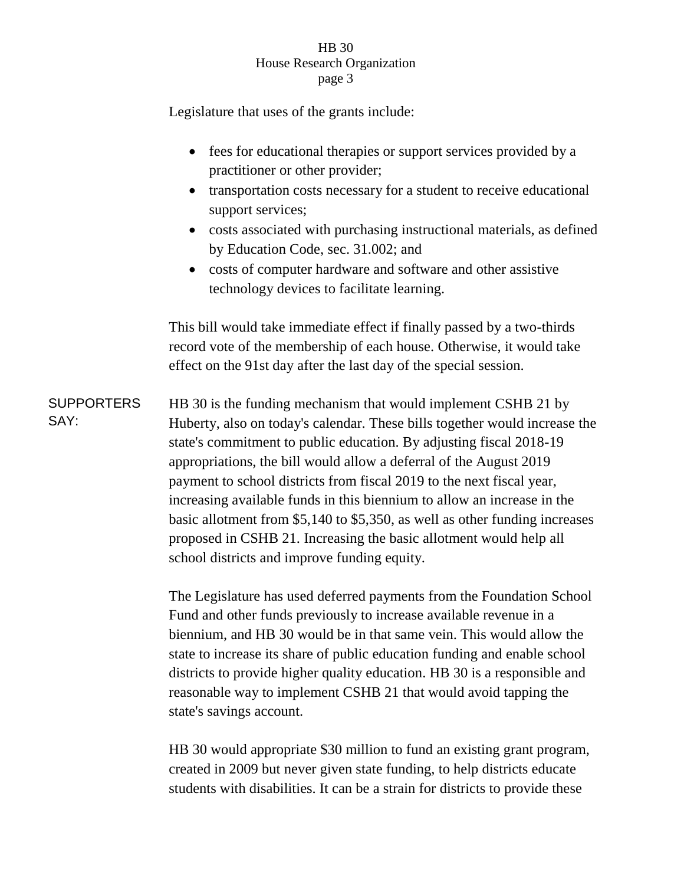### HB 30 House Research Organization page 3

Legislature that uses of the grants include:

school districts and improve funding equity.

SAY:

• fees for educational therapies or support services provided by a practitioner or other provider; • transportation costs necessary for a student to receive educational support services; costs associated with purchasing instructional materials, as defined by Education Code, sec. 31.002; and costs of computer hardware and software and other assistive technology devices to facilitate learning. This bill would take immediate effect if finally passed by a two-thirds record vote of the membership of each house. Otherwise, it would take effect on the 91st day after the last day of the special session. **SUPPORTERS** HB 30 is the funding mechanism that would implement CSHB 21 by Huberty, also on today's calendar. These bills together would increase the state's commitment to public education. By adjusting fiscal 2018-19 appropriations, the bill would allow a deferral of the August 2019 payment to school districts from fiscal 2019 to the next fiscal year, increasing available funds in this biennium to allow an increase in the basic allotment from \$5,140 to \$5,350, as well as other funding increases proposed in CSHB 21. Increasing the basic allotment would help all

> The Legislature has used deferred payments from the Foundation School Fund and other funds previously to increase available revenue in a biennium, and HB 30 would be in that same vein. This would allow the state to increase its share of public education funding and enable school districts to provide higher quality education. HB 30 is a responsible and reasonable way to implement CSHB 21 that would avoid tapping the state's savings account.

> HB 30 would appropriate \$30 million to fund an existing grant program, created in 2009 but never given state funding, to help districts educate students with disabilities. It can be a strain for districts to provide these